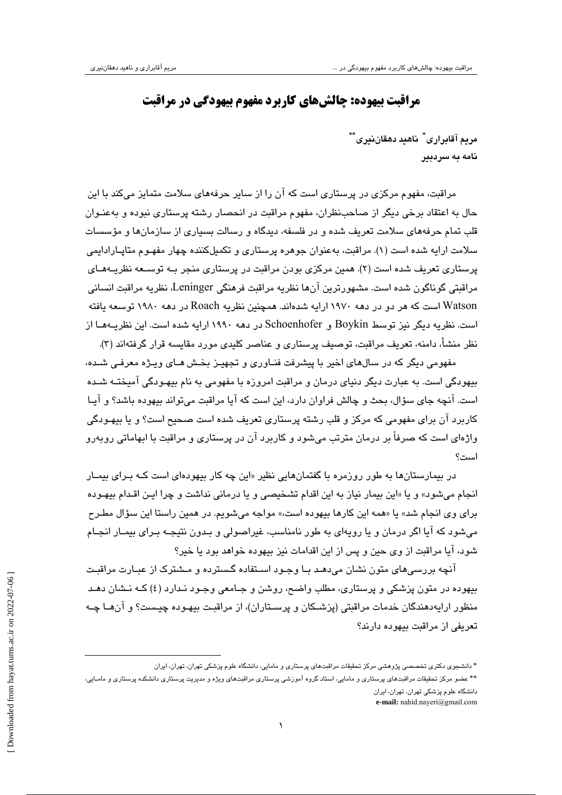## **مراقبت بيهوده: چالشهاي كاربرد مفهوم بيهودگي در مراقبت**

**\*\* ناهيد دهقاننيري \* مريم آقابراري** <sup>∗</sup> **نامه به سردبير**

مراقبت، مفهوم مركزي در پرستاري است كه آن را از ساير حرفههاي سلامت متمايز ميكند با اين حال به اعتقاد برخي ديگر از صاحبنظران، مفهوم مراقبت در انحصار رشته پرستاري نبوده و بهعنـوان قلب تمام حرفههاي سلامت تعريف شده و در فلسفه، ديدگاه و رسالت بسياري از سازمانها و مؤسسات سلامت ارايه شده است (1). مراقبت، بهعنوان جوهره پرستاري و تكميلكننده چهار مفهـوم متاپـارادايمي پرستاري تعريف شده است (2). همين مركزي بودن مراقبت در پرستاري منجر بـه توسـعه نظريـههـاي مراقبتي گوناگون شده است. مشهورترين آنها نظريه مراقبت فرهنگي Leninger، نظريه مراقبت انساني Watson است كه هر دو در دهه 1970 ارايه شدهاند. همچنين نظريه Roach در دهه 1980 توسعه يافته است. نظريه ديگر نيز توسط Boykin و Schoenhofer در دهه 1990 ارايه شده است. اين نظريـههـا از نظر منشأ، دامنه، تعريف مراقبت، توصيف پرستاري و عناصر كليدي مورد مقايسه قرار گرفتهاند (3).

مفهومي ديگر كه در سالهاي اخير با پيشرفت فنـاوري و تجهيـز بخـش هـاي ويـژه معرفـي شـده، بيهودگي است. به عبارت ديگر دنياي درمان و مراقبت امروزه با مفهومي به نام بيهـودگي آميختـه شـده است. آنچه جاي سؤال، بحث و چالش فراوان دارد، اين است كه آيا مراقبت ميتواند بيهوده باشد؟ و آيـا كاربرد آن براي مفهومي كه مركز و قلب رشته پرستاري تعريف شده است صحيح است؟ و يا بيهـودگي واژهاي است كه صرفاً بر درمان مترتب ميشود و كاربرد آن در پرستاري و مراقبت با ابهاماتي روبهرو است؟

در بيمارستانها به طور روزمره با گفتمانهايي نظير «اين چه كار بيهودهاي است كـه بـراي بيمـار انجام ميشود» و يا «اين بيمار نياز به اين اقدام تشخيصي و يا درماني نداشت و چرا ايـن اقـدام بيهـوده براي وي انجام شد» يا «همه اين كارها بيهوده است،» مواجه ميشويم. در همين راستا اين سؤال مطـرح ميشود كه آيا اگر درمان و يا رويهاي به طور نامناسب، غيراصولي و بـدون نتيجـه بـراي بيمـار انجـام شود، آيا مراقبت از وي حين و پس از اين اقدامات نيز بيهوده خواهد بود يا خير؟

آنچه بررسيهاي متون نشان ميدهـد بـا وجـود اسـتفاده گـسترده و مـشترك از عبـارت مراقبـت بيهوده در متون پزشكي و پرستاري، مطلب واضح، روشن و جـامعي وجـود نـدارد (4) كـه نـشان دهـد منظور ارايهدهندگان خدمات مراقبتي (پزشـكان و پرسـتاران)، از مراقبـت بيهـوده چيـست؟ و آنهـا چـه تعريفي از مراقبت بيهوده دارند؟

<sup>\*</sup> دانشجوي دكتري تخصصي پژوهشي مركز تحقيقات مراقبتهاي پرستاري <sup>و</sup> مامايي، دانشگاه علوم پزشكي تهران، تهران، ايران

<sup>\*\*</sup> عضو مركز تحقيقات مراقبتهاي پرستاري و مامايي، استاد گروه آموزشي پرستاري مراقبتهاي ويژه و مديريت پرستاري دانشكده پرستاري و مامـايي، دانشگاه علوم پزشكي تهران، تهران، ايران

**e-mail:** nahid.nayeri@gmail.com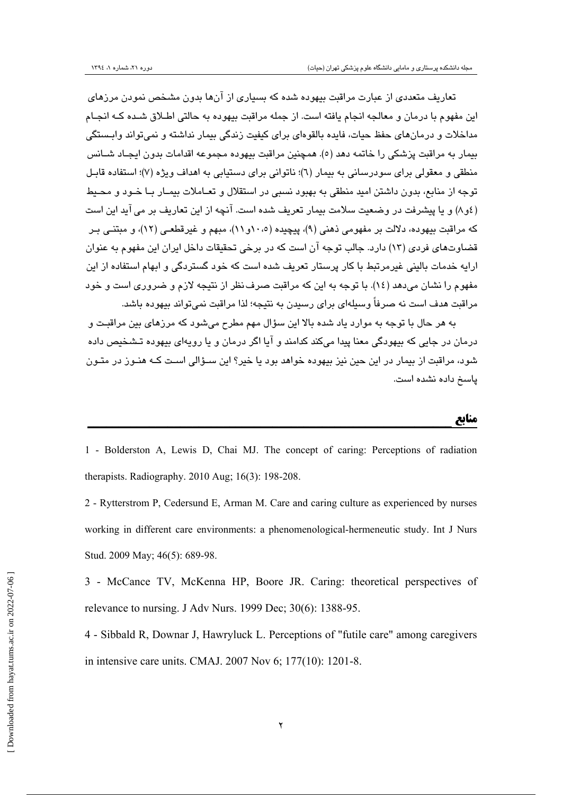تعاريف متعددي از عبارت مراقبت بيهوده شده كه بسياري از آنها بدون مشخص نمودن مرزهاي اين مفهوم با درمان و معالجه انجام يافته است. از جمله مراقبت بيهوده به حالتي اطـلاق شـده كـه انجـام مداخلات و درمانهاي حفظ حيات، فايده بالقوهاي براي كيفيت زندگي بيمار نداشته و نميتواند وابـستگي بيمار به مراقبت پزشكي را خاتمه دهد (5). همچنين مراقبت بيهوده مجموعه اقدامات بدون ايجـاد شـانس منطقي و معقولي براي سودرساني به بيمار (6)؛ ناتواني براي دستيابي به اهداف ويژه (7)؛ استفاده قابـل توجه از منابع، بدون داشتن اميد منطقي به بهبود نسبي در استقلال و تعـاملات بيمـار بـا خـود و محـيط (4و8) و يا پيشرفت در وضعيت سلامت بيمار تعريف شده است. آنچه از اين تعاريف بر ميآيد اين است كه مراقبت بيهوده، دلالت بر مفهومي ذهني (9)، پيچيده (10،5و11)، مبهم و غيرقطعـي (12)، و مبتنـي بـر قضاوتهاي فردي (13) دارد. جالب توجه آن است كه در برخي تحقيقات داخل ايران اين مفهوم به عنوان ارايه خدمات باليني غيرمرتبط با كار پرستار تعريف شده است كه خود گستردگي و ابهام استفاده از اين مفهوم را نشان ميدهد (14). با توجه به اين كه مراقبت صرفنظر از نتيجه لازم و ضروري است و خود مراقبت هدف است نه صرفاً وسيلهاي براي رسيدن به نتيجه؛ لذا مراقبت نميتواند بيهوده باشد.

به هر حال با توجه به موارد ياد شده بالا اين سؤال مهم مطرح ميشود كه مرزهاي بين مراقبـت و درمان در جايي كه بيهودگي معنا پيدا ميكند كدامند و آيا اگر درمان و يا رويهاي بيهوده تـشخيص داده شود، مراقبت از بيمار در اين حين نيز بيهوده خواهد بود يا خير؟ اين سـؤالي اسـت كـه هنـوز در متـون پاسخ داده نشده است.

**منابع \_\_\_\_\_\_\_\_\_\_\_\_\_\_\_\_\_\_\_\_\_\_\_\_\_\_\_\_\_\_\_\_\_\_\_\_\_\_\_\_\_\_\_\_\_\_\_\_\_\_\_\_\_\_\_\_\_\_\_**

1 - Bolderston A, Lewis D, Chai MJ. The concept of caring: Perceptions of radiation therapists. Radiography. 2010 Aug; 16(3): 198-208.

2 - Rytterstrom P, Cedersund E, Arman M. Care and caring culture as experienced by nurses working in different care environments: a phenomenological-hermeneutic study. Int J Nurs Stud. 2009 May; 46(5): 689-98.

3 - McCance TV, McKenna HP, Boore JR. Caring: theoretical perspectives of relevance to nursing. J Adv Nurs. 1999 Dec; 30(6): 1388-95.

4 - Sibbald R, Downar J, Hawryluck L. Perceptions of "futile care" among caregivers in intensive care units. CMAJ. 2007 Nov 6; 177(10): 1201-8.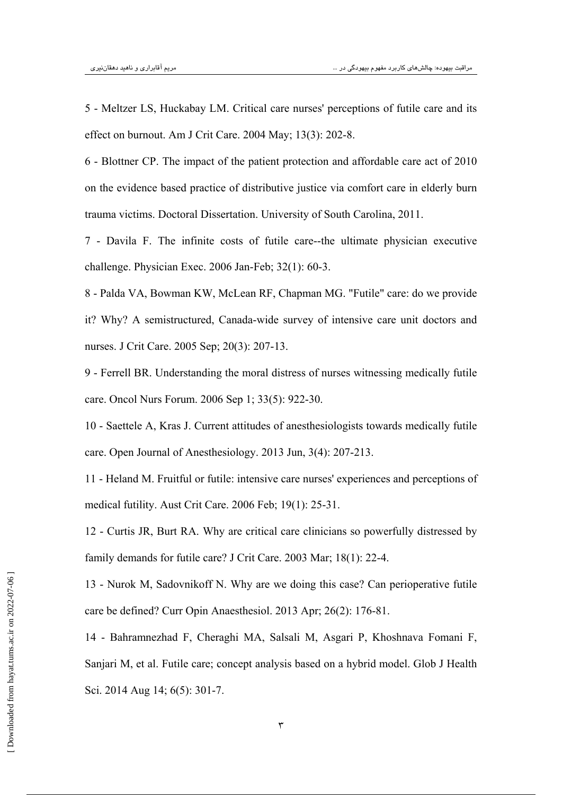5 - Meltzer LS, Huckabay LM. Critical care nurses' perceptions of futile care and its effect on burnout. Am J Crit Care. 2004 May; 13(3): 202-8.

6 - Blottner CP. The impact of the patient protection and affordable care act of 2010 on the evidence based practice of distributive justice via comfort care in elderly burn trauma victims. Doctoral Dissertation. University of South Carolina, 2011.

7 - Davila F. The infinite costs of futile care--the ultimate physician executive challenge. Physician Exec. 2006 Jan-Feb; 32(1): 60-3.

8 - Palda VA, Bowman KW, McLean RF, Chapman MG. "Futile" care: do we provide it? Why? A semistructured, Canada-wide survey of intensive care unit doctors and nurses. J Crit Care. 2005 Sep; 20(3): 207-13.

9 - Ferrell BR. Understanding the moral distress of nurses witnessing medically futile care. Oncol Nurs Forum. 2006 Sep 1; 33(5): 922-30.

10 - Saettele A, Kras J. Current attitudes of anesthesiologists towards medically futile care. Open Journal of Anesthesiology. 2013 Jun, 3(4): 207-213.

11 - Heland M. Fruitful or futile: intensive care nurses' experiences and perceptions of medical futility. Aust Crit Care. 2006 Feb; 19(1): 25-31.

12 - Curtis JR, Burt RA. Why are critical care clinicians so powerfully distressed by family demands for futile care? J Crit Care. 2003 Mar; 18(1): 22-4.

13 - Nurok M, Sadovnikoff N. Why are we doing this case? Can perioperative futile care be defined? Curr Opin Anaesthesiol. 2013 Apr; 26(2): 176-81.

14 - Bahramnezhad F, Cheraghi MA, Salsali M, Asgari P, Khoshnava Fomani F, Sanjari M, et al. Futile care; concept analysis based on a hybrid model. Glob J Health Sci. 2014 Aug 14; 6(5): 301-7.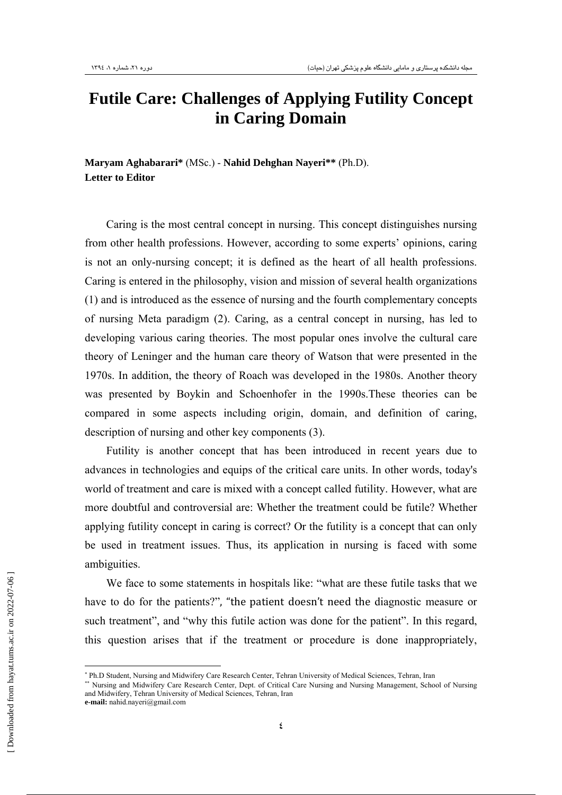## **Futile Care: Challenges of Applying Futility Concept in Caring Domain**

**Maryam Aghabarari\*** (MSc.) - **Nahid Dehghan Nayeri\*\*** (Ph.D). <sup>∗</sup> **Letter to Editor** 

Caring is the most central concept in nursing. This concept distinguishes nursing from other health professions. However, according to some experts' opinions, caring is not an only-nursing concept; it is defined as the heart of all health professions. Caring is entered in the philosophy, vision and mission of several health organizations (1) and is introduced as the essence of nursing and the fourth complementary concepts of nursing Meta paradigm (2). Caring, as a central concept in nursing, has led to developing various caring theories. The most popular ones involve the cultural care theory of Leninger and the human care theory of Watson that were presented in the 1970s. In addition, the theory of Roach was developed in the 1980s. Another theory was presented by Boykin and Schoenhofer in the 1990s.These theories can be compared in some aspects including origin, domain, and definition of caring, description of nursing and other key components (3).

Futility is another concept that has been introduced in recent years due to advances in technologies and equips of the critical care units. In other words, today's world of treatment and care is mixed with a concept called futility. However, what are more doubtful and controversial are: Whether the treatment could be futile? Whether applying futility concept in caring is correct? Or the futility is a concept that can only be used in treatment issues. Thus, its application in nursing is faced with some ambiguities.

We face to some statements in hospitals like: "what are these futile tasks that we have to do for the patients?", "the patient doesn't need the diagnostic measure or such treatment", and "why this futile action was done for the patient". In this regard, this question arises that if the treatment or procedure is done inappropriately,

<sup>∗</sup> Ph.D Student, Nursing and Midwifery Care Research Center, Tehran University of Medical Sciences, Tehran, Iran

<sup>∗∗</sup> Nursing and Midwifery Care Research Center, Dept. of Critical Care Nursing and Nursing Management, School of Nursing and Midwifery, Tehran University of Medical Sciences, Tehran, Iran